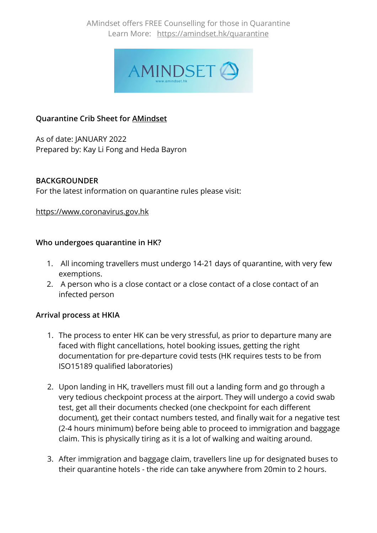AMindset offers FREE Counselling for those in Quarantine Learn More: https://amindset.hk/quarantine



# **Quarantine Crib Sheet for AMindset**

As of date: JANUARY 2022 Prepared by: Kay Li Fong and Heda Bayron

### **BACKGROUNDER**

For the latest information on quarantine rules please visit:

### https://www.coronavirus.gov.hk

### **Who undergoes quarantine in HK?**

- 1. All incoming travellers must undergo 14-21 days of quarantine, with very few exemptions.
- 2. A person who is a close contact or a close contact of a close contact of an infected person

### **Arrival process at HKIA**

- 1. The process to enter HK can be very stressful, as prior to departure many are faced with flight cancellations, hotel booking issues, getting the right documentation for pre-departure covid tests (HK requires tests to be from ISO15189 qualified laboratories)
- 2. Upon landing in HK, travellers must fill out a landing form and go through a very tedious checkpoint process at the airport. They will undergo a covid swab test, get all their documents checked (one checkpoint for each different document), get their contact numbers tested, and finally wait for a negative test (2-4 hours minimum) before being able to proceed to immigration and baggage claim. This is physically tiring as it is a lot of walking and waiting around.
- 3. After immigration and baggage claim, travellers line up for designated buses to their quarantine hotels - the ride can take anywhere from 20min to 2 hours.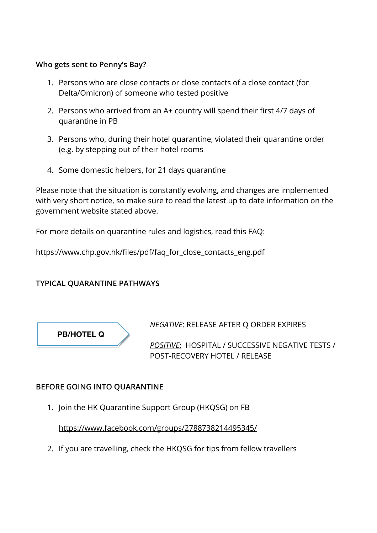### **Who gets sent to Penny's Bay?**

- 1. Persons who are close contacts or close contacts of a close contact (for Delta/Omicron) of someone who tested positive
- 2. Persons who arrived from an A+ country will spend their first 4/7 days of quarantine in PB
- 3. Persons who, during their hotel quarantine, violated their quarantine order (e.g. by stepping out of their hotel rooms
- 4. Some domestic helpers, for 21 days quarantine

Please note that the situation is constantly evolving, and changes are implemented with very short notice, so make sure to read the latest up to date information on the government website stated above.

For more details on quarantine rules and logistics, read this FAQ:

https://www.chp.gov.hk/files/pdf/faq\_for\_close\_contacts\_eng.pdf

# **TYPICAL QUARANTINE PATHWAYS**



*NEGATIVE*: RELEASE AFTER Q ORDER EXPIRES

*POSITIVE*: HOSPITAL / SUCCESSIVE NEGATIVE TESTS / POST-RECOVERY HOTEL / RELEASE

# **BEFORE GOING INTO QUARANTINE**

1. Join the HK Quarantine Support Group (HKQSG) on FB

https://www.facebook.com/groups/2788738214495345/

2. If you are travelling, check the HKQSG for tips from fellow travellers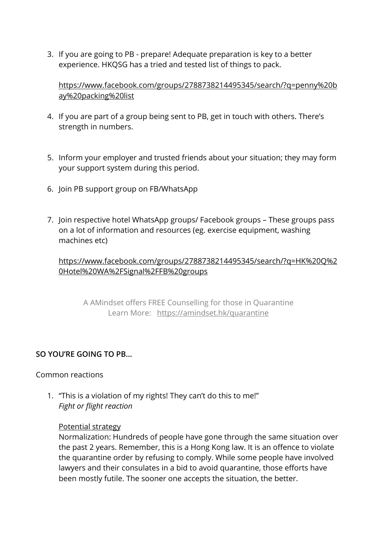3. If you are going to PB - prepare! Adequate preparation is key to a better experience. HKQSG has a tried and tested list of things to pack.

https://www.facebook.com/groups/2788738214495345/search/?q=penny%20b ay%20packing%20list

- 4. If you are part of a group being sent to PB, get in touch with others. There's strength in numbers.
- 5. Inform your employer and trusted friends about your situation; they may form your support system during this period.
- 6. Join PB support group on FB/WhatsApp
- 7. Join respective hotel WhatsApp groups/ Facebook groups These groups pass on a lot of information and resources (eg. exercise equipment, washing machines etc)

https://www.facebook.com/groups/2788738214495345/search/?q=HK%20Q%2 0Hotel%20WA%2FSignal%2FFB%20groups

A AMindset offers FREE Counselling for those in Quarantine Learn More: https://amindset.hk/quarantine

# **SO YOU'RE GOING TO PB…**

### Common reactions

1. "This is a violation of my rights! They can't do this to me!" *Fight or flight reaction*

### Potential strategy

Normalization: Hundreds of people have gone through the same situation over the past 2 years. Remember, this is a Hong Kong law. It is an offence to violate the quarantine order by refusing to comply. While some people have involved lawyers and their consulates in a bid to avoid quarantine, those efforts have been mostly futile. The sooner one accepts the situation, the better.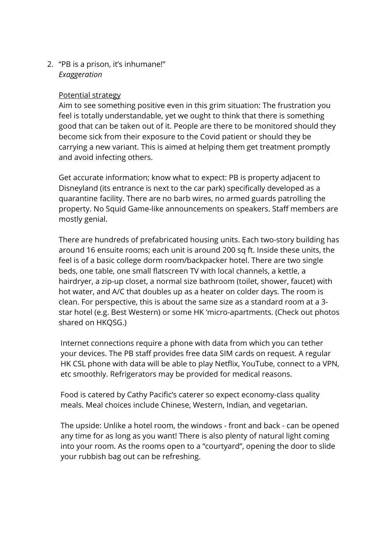2. "PB is a prison, it's inhumane!" *Exaggeration*

### Potential strategy

Aim to see something positive even in this grim situation: The frustration you feel is totally understandable, yet we ought to think that there is something good that can be taken out of it. People are there to be monitored should they become sick from their exposure to the Covid patient or should they be carrying a new variant. This is aimed at helping them get treatment promptly and avoid infecting others.

Get accurate information; know what to expect: PB is property adjacent to Disneyland (its entrance is next to the car park) specifically developed as a quarantine facility. There are no barb wires, no armed guards patrolling the property. No Squid Game-like announcements on speakers. Staff members are mostly genial.

There are hundreds of prefabricated housing units. Each two-story building has around 16 ensuite rooms; each unit is around 200 sq ft. Inside these units, the feel is of a basic college dorm room/backpacker hotel. There are two single beds, one table, one small flatscreen TV with local channels, a kettle, a hairdryer, a zip-up closet, a normal size bathroom (toilet, shower, faucet) with hot water, and A/C that doubles up as a heater on colder days. The room is clean. For perspective, this is about the same size as a standard room at a 3 star hotel (e.g. Best Western) or some HK 'micro-apartments. (Check out photos shared on HKQSG.)

Internet connections require a phone with data from which you can tether your devices. The PB staff provides free data SIM cards on request. A regular HK CSL phone with data will be able to play Netflix, YouTube, connect to a VPN, etc smoothly. Refrigerators may be provided for medical reasons.

Food is catered by Cathy Pacific's caterer so expect economy-class quality meals. Meal choices include Chinese, Western, Indian, and vegetarian.

The upside: Unlike a hotel room, the windows - front and back - can be opened any time for as long as you want! There is also plenty of natural light coming into your room. As the rooms open to a "courtyard", opening the door to slide your rubbish bag out can be refreshing.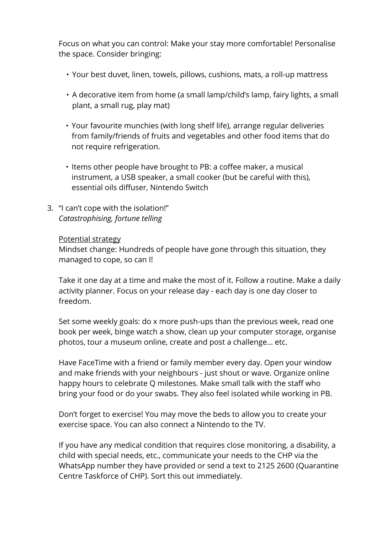Focus on what you can control: Make your stay more comfortable! Personalise the space. Consider bringing:

- Your best duvet, linen, towels, pillows, cushions, mats, a roll-up mattress
- A decorative item from home (a small lamp/child's lamp, fairy lights, a small plant, a small rug, play mat)
- Your favourite munchies (with long shelf life), arrange regular deliveries from family/friends of fruits and vegetables and other food items that do not require refrigeration.
- Items other people have brought to PB: a coffee maker, a musical instrument, a USB speaker, a small cooker (but be careful with this), essential oils diffuser, Nintendo Switch
- 3. "I can't cope with the isolation!" *Catastrophising, fortune telling*

#### Potential strategy

Mindset change: Hundreds of people have gone through this situation, they managed to cope, so can I!

Take it one day at a time and make the most of it. Follow a routine. Make a daily activity planner. Focus on your release day - each day is one day closer to freedom.

Set some weekly goals: do x more push-ups than the previous week, read one book per week, binge watch a show, clean up your computer storage, organise photos, tour a museum online, create and post a challenge… etc.

Have FaceTime with a friend or family member every day. Open your window and make friends with your neighbours - just shout or wave. Organize online happy hours to celebrate Q milestones. Make small talk with the staff who bring your food or do your swabs. They also feel isolated while working in PB.

Don't forget to exercise! You may move the beds to allow you to create your exercise space. You can also connect a Nintendo to the TV.

If you have any medical condition that requires close monitoring, a disability, a child with special needs, etc., communicate your needs to the CHP via the WhatsApp number they have provided or send a text to 2125 2600 (Quarantine Centre Taskforce of CHP). Sort this out immediately.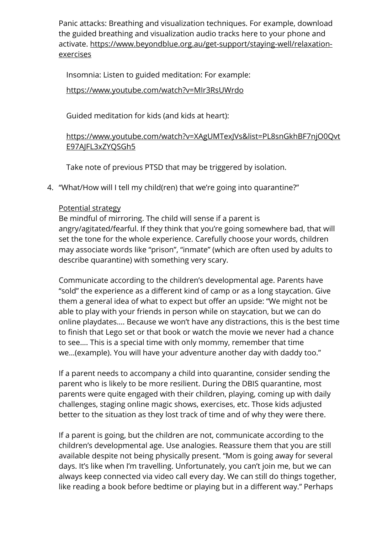Panic attacks: Breathing and visualization techniques. For example, download the guided breathing and visualization audio tracks here to your phone and activate. https://www.beyondblue.org.au/get-support/staying-well/relaxationexercises

Insomnia: Listen to guided meditation: For example:

### https://www.youtube.com/watch?v=MIr3RsUWrdo

Guided meditation for kids (and kids at heart):

# https://www.youtube.com/watch?v=XAgUMTexJVs&list=PL8snGkhBF7njO0Qvt E97AJFL3xZYQSGh5

Take note of previous PTSD that may be triggered by isolation.

4. "What/How will I tell my child(ren) that we're going into quarantine?"

# Potential strategy

Be mindful of mirroring. The child will sense if a parent is angry/agitated/fearful. If they think that you're going somewhere bad, that will set the tone for the whole experience. Carefully choose your words, children may associate words like "prison", "inmate" (which are often used by adults to describe quarantine) with something very scary.

Communicate according to the children's developmental age. Parents have "sold" the experience as a different kind of camp or as a long staycation. Give them a general idea of what to expect but offer an upside: "We might not be able to play with your friends in person while on staycation, but we can do online playdates…. Because we won't have any distractions, this is the best time to finish that Lego set or that book or watch the movie we never had a chance to see…. This is a special time with only mommy, remember that time we…(example). You will have your adventure another day with daddy too."

If a parent needs to accompany a child into quarantine, consider sending the parent who is likely to be more resilient. During the DBIS quarantine, most parents were quite engaged with their children, playing, coming up with daily challenges, staging online magic shows, exercises, etc. Those kids adjusted better to the situation as they lost track of time and of why they were there.

If a parent is going, but the children are not, communicate according to the children's developmental age. Use analogies. Reassure them that you are still available despite not being physically present. "Mom is going away for several days. It's like when I'm travelling. Unfortunately, you can't join me, but we can always keep connected via video call every day. We can still do things together, like reading a book before bedtime or playing but in a different way." Perhaps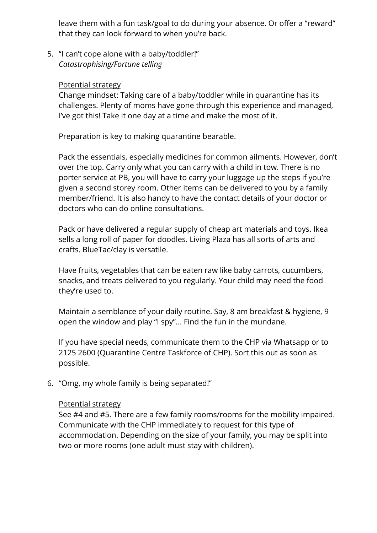leave them with a fun task/goal to do during your absence. Or offer a "reward" that they can look forward to when you're back.

5. "I can't cope alone with a baby/toddler!" *Catastrophising/Fortune telling*

#### Potential strategy

Change mindset: Taking care of a baby/toddler while in quarantine has its challenges. Plenty of moms have gone through this experience and managed, I've got this! Take it one day at a time and make the most of it.

Preparation is key to making quarantine bearable.

Pack the essentials, especially medicines for common ailments. However, don't over the top. Carry only what you can carry with a child in tow. There is no porter service at PB, you will have to carry your luggage up the steps if you're given a second storey room. Other items can be delivered to you by a family member/friend. It is also handy to have the contact details of your doctor or doctors who can do online consultations.

Pack or have delivered a regular supply of cheap art materials and toys. Ikea sells a long roll of paper for doodles. Living Plaza has all sorts of arts and crafts. BlueTac/clay is versatile.

Have fruits, vegetables that can be eaten raw like baby carrots, cucumbers, snacks, and treats delivered to you regularly. Your child may need the food they're used to.

Maintain a semblance of your daily routine. Say, 8 am breakfast & hygiene, 9 open the window and play "I spy"... Find the fun in the mundane.

If you have special needs, communicate them to the CHP via Whatsapp or to 2125 2600 (Quarantine Centre Taskforce of CHP). Sort this out as soon as possible.

6. "Omg, my whole family is being separated!"

### Potential strategy

See #4 and #5. There are a few family rooms/rooms for the mobility impaired. Communicate with the CHP immediately to request for this type of accommodation. Depending on the size of your family, you may be split into two or more rooms (one adult must stay with children).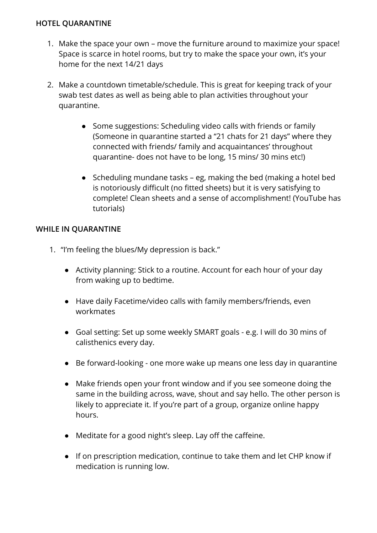### **HOTEL QUARANTINE**

- 1. Make the space your own move the furniture around to maximize your space! Space is scarce in hotel rooms, but try to make the space your own, it's your home for the next 14/21 days
- 2. Make a countdown timetable/schedule. This is great for keeping track of your swab test dates as well as being able to plan activities throughout your quarantine.
	- Some suggestions: Scheduling video calls with friends or family (Someone in quarantine started a "21 chats for 21 days" where they connected with friends/ family and acquaintances' throughout quarantine- does not have to be long, 15 mins/ 30 mins etc!)
	- Scheduling mundane tasks eg, making the bed (making a hotel bed is notoriously difficult (no fitted sheets) but it is very satisfying to complete! Clean sheets and a sense of accomplishment! (YouTube has tutorials)

# **WHILE IN QUARANTINE**

- 1. "I'm feeling the blues/My depression is back."
	- Activity planning: Stick to a routine. Account for each hour of your day from waking up to bedtime.
	- Have daily Facetime/video calls with family members/friends, even workmates
	- Goal setting: Set up some weekly SMART goals e.g. I will do 30 mins of calisthenics every day.
	- Be forward-looking one more wake up means one less day in quarantine
	- Make friends open your front window and if you see someone doing the same in the building across, wave, shout and say hello. The other person is likely to appreciate it. If you're part of a group, organize online happy hours.
	- Meditate for a good night's sleep. Lay off the caffeine.
	- If on prescription medication, continue to take them and let CHP know if medication is running low.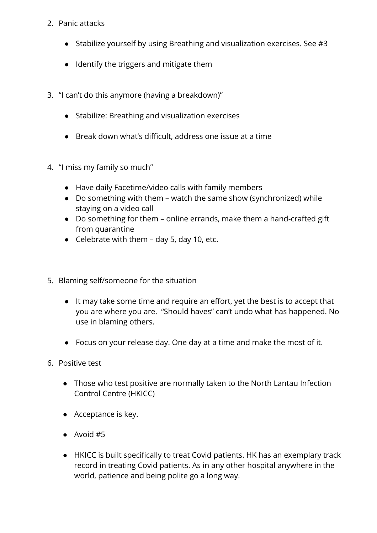- 2. Panic attacks
	- Stabilize yourself by using Breathing and visualization exercises. See #3
	- Identify the triggers and mitigate them
- 3. "I can't do this anymore (having a breakdown)"
	- Stabilize: Breathing and visualization exercises
	- Break down what's difficult, address one issue at a time
- 4. "I miss my family so much"
	- Have daily Facetime/video calls with family members
	- Do something with them watch the same show (synchronized) while staying on a video call
	- Do something for them online errands, make them a hand-crafted gift from quarantine
	- $\bullet$  Celebrate with them day 5, day 10, etc.
- 5. Blaming self/someone for the situation
	- It may take some time and require an effort, yet the best is to accept that you are where you are. "Should haves" can't undo what has happened. No use in blaming others.
	- Focus on your release day. One day at a time and make the most of it.
- 6. Positive test
	- Those who test positive are normally taken to the North Lantau Infection Control Centre (HKICC)
	- Acceptance is key.
	- Avoid #5
	- HKICC is built specifically to treat Covid patients. HK has an exemplary track record in treating Covid patients. As in any other hospital anywhere in the world, patience and being polite go a long way.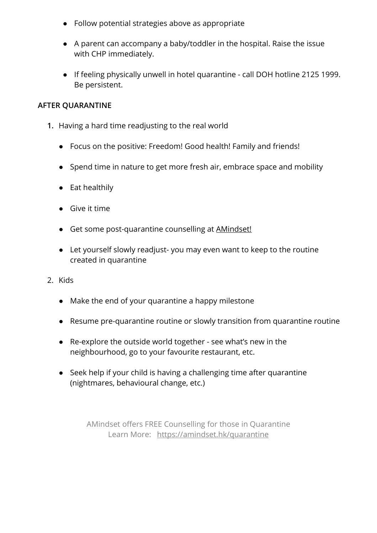- Follow potential strategies above as appropriate
- A parent can accompany a baby/toddler in the hospital. Raise the issue with CHP immediately.
- If feeling physically unwell in hotel quarantine call DOH hotline 2125 1999. Be persistent.

### **AFTER QUARANTINE**

- **1.** Having a hard time readjusting to the real world
	- Focus on the positive: Freedom! Good health! Family and friends!
	- Spend time in nature to get more fresh air, embrace space and mobility
	- Eat healthily
	- Give it time
	- Get some post-quarantine counselling at AMindset!
	- Let yourself slowly readjust- you may even want to keep to the routine created in quarantine
- 2. Kids
	- Make the end of your quarantine a happy milestone
	- Resume pre-quarantine routine or slowly transition from quarantine routine
	- Re-explore the outside world together see what's new in the neighbourhood, go to your favourite restaurant, etc.
	- Seek help if your child is having a challenging time after quarantine (nightmares, behavioural change, etc.)

AMindset offers FREE Counselling for those in Quarantine Learn More: https://amindset.hk/quarantine